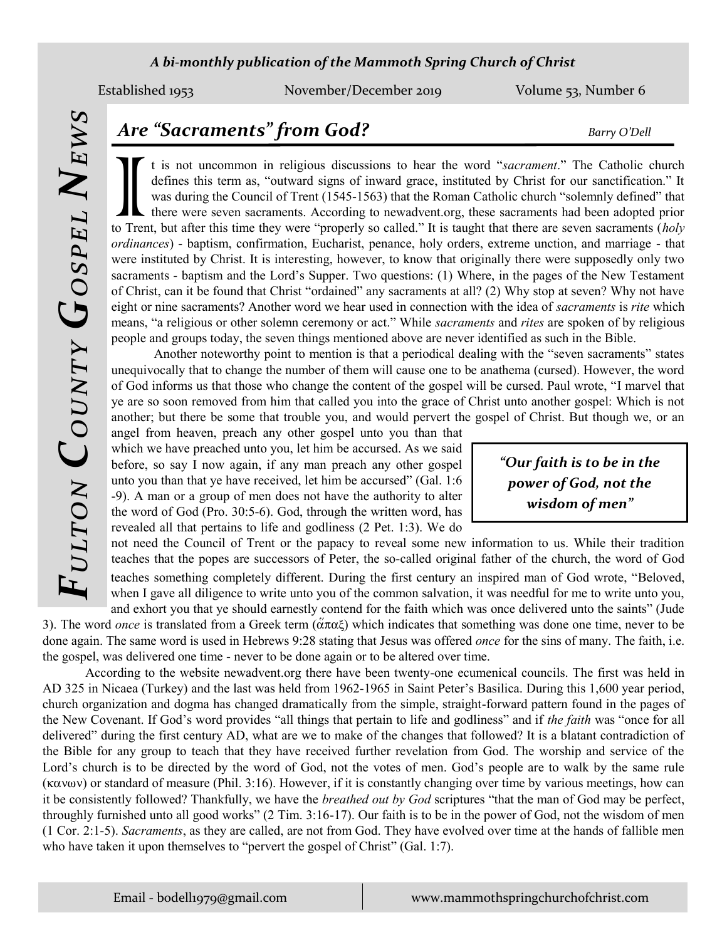#### *A bi-monthly publication of the Mammoth Spring Church of Christ*

Established 1953 November/December 2019 Volume 53, Number 6

## *Are "Sacraments" from God? Barry O'Dell*

If the mean is even sacraments of invard grace, instituted by Christ for our sanctification." It was during the Council of Trent (1545-1563) that the Roman Catholic church "solemnly defined" that there were seven sacrament t is not uncommon in religious discussions to hear the word "*sacrament*." The Catholic church defines this term as, "outward signs of inward grace, instituted by Christ for our sanctification." It was during the Council of Trent (1545-1563) that the Roman Catholic church "solemnly defined" that there were seven sacraments. According to newadvent.org, these sacraments had been adopted prior to Trent, but after this time they were "properly so called." It is taught that there are seven sacraments (*holy*  were instituted by Christ. It is interesting, however, to know that originally there were supposedly only two sacraments - baptism and the Lord's Supper. Two questions: (1) Where, in the pages of the New Testament of Christ, can it be found that Christ "ordained" any sacraments at all? (2) Why stop at seven? Why not have eight or nine sacraments? Another word we hear used in connection with the idea of *sacraments* is *rite* which means, "a religious or other solemn ceremony or act." While *sacraments* and *rites* are spoken of by religious people and groups today, the seven things mentioned above are never identified as such in the Bible.

Another noteworthy point to mention is that a periodical dealing with the "seven sacraments" states unequivocally that to change the number of them will cause one to be anathema (cursed). However, the word of God informs us that those who change the content of the gospel will be cursed. Paul wrote, "I marvel that ye are so soon removed from him that called you into the grace of Christ unto another gospel: Which is not another; but there be some that trouble you, and would pervert the gospel of Christ. But though we, or an

angel from heaven, preach any other gospel unto you than that which we have preached unto you, let him be accursed. As we said before, so say I now again, if any man preach any other gospel unto you than that ye have received, let him be accursed" (Gal. 1:6 -9). A man or a group of men does not have the authority to alter the word of God (Pro. 30:5-6). God, through the written word, has revealed all that pertains to life and godliness (2 Pet. 1:3). We do

*"Our faith is to be in the power of God, not the wisdom of men"*

not need the Council of Trent or the papacy to reveal some new information to us. While their tradition teaches that the popes are successors of Peter, the so-called original father of the church, the word of God teaches something completely different. During the first century an inspired man of God wrote, "Beloved, when I gave all diligence to write unto you of the common salvation, it was needful for me to write unto you, and exhort you that ye should earnestly contend for the faith which was once delivered unto the saints" (Jude

3). The word *once* is translated from a Greek term  $(\tilde{\alpha}\pi\alpha\xi)$  which indicates that something was done one time, never to be done again. The same word is used in Hebrews 9:28 stating that Jesus was offered *once* for the sins of many. The faith, i.e. the gospel, was delivered one time - never to be done again or to be altered over time.

According to the website newadvent.org there have been twenty-one ecumenical councils. The first was held in AD 325 in Nicaea (Turkey) and the last was held from 1962-1965 in Saint Peter's Basilica. During this 1,600 year period, church organization and dogma has changed dramatically from the simple, straight-forward pattern found in the pages of the New Covenant. If God's word provides "all things that pertain to life and godliness" and if *the faith* was "once for all delivered" during the first century AD, what are we to make of the changes that followed? It is a blatant contradiction of the Bible for any group to teach that they have received further revelation from God. The worship and service of the Lord's church is to be directed by the word of God, not the votes of men. God's people are to walk by the same rule  $(\kappa \alpha v \omega v)$  or standard of measure (Phil. 3:16). However, if it is constantly changing over time by various meetings, how can it be consistently followed? Thankfully, we have the *breathed out by God* scriptures "that the man of God may be perfect, throughly furnished unto all good works" (2 Tim. 3:16-17). Our faith is to be in the power of God, not the wisdom of men (1 Cor. 2:1-5). *Sacraments*, as they are called, are not from God. They have evolved over time at the hands of fallible men who have taken it upon themselves to "pervert the gospel of Christ" (Gal. 1:7).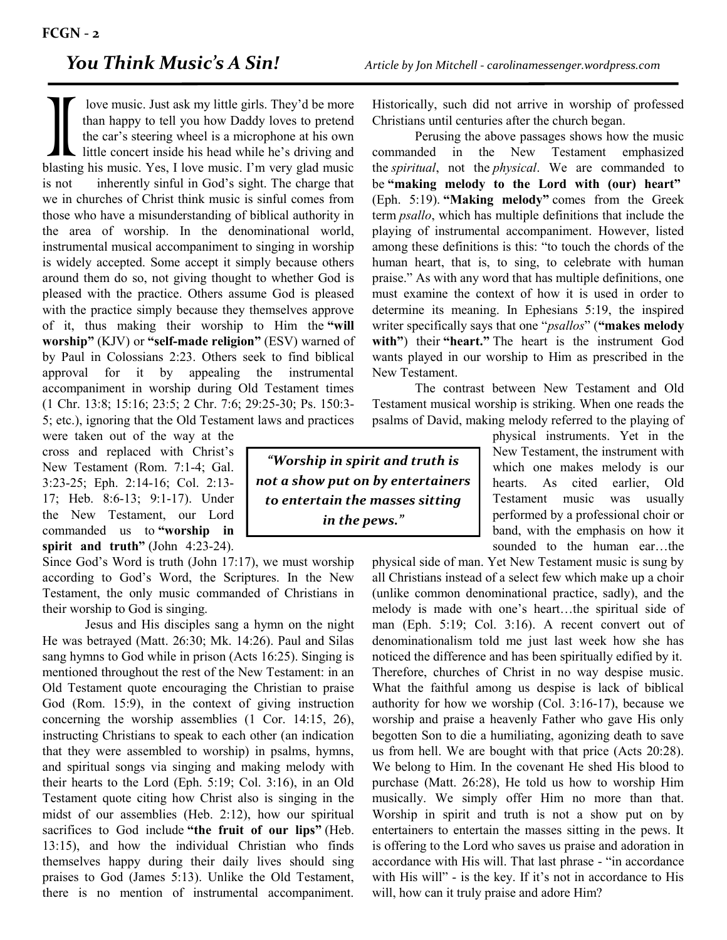*You Think Music's A Sin! Article by Jon Mitchell - carolinamessenger.wordpress.com*

 $\prod_{\substack{\text{blasting} \\ \text{is not}}}$ love music. Just ask my little girls. They'd be more than happy to tell you how Daddy loves to pretend the car's steering wheel is a microphone at his own little concert inside his head while he's driving and blasting his music. Yes, I love music. I'm very glad music is not inherently sinful in God's sight. The charge that we in churches of Christ think music is sinful comes from those who have a misunderstanding of biblical authority in the area of worship. In the denominational world, instrumental musical accompaniment to singing in worship is widely accepted. Some accept it simply because others around them do so, not giving thought to whether God is pleased with the practice. Others assume God is pleased with the practice simply because they themselves approve of it, thus making their worship to Him the **"will worship"** (KJV) or **"self-made religion"** (ESV) warned of by Paul in Colossians 2:23. Others seek to find biblical approval for it by appealing the instrumental accompaniment in worship during Old Testament times (1 Chr. 13:8; 15:16; 23:5; 2 Chr. 7:6; 29:25-30; Ps. 150:3- 5; etc.), ignoring that the Old Testament laws and practices

were taken out of the way at the cross and replaced with Christ's New Testament (Rom. 7:1-4; Gal. 3:23-25; Eph. 2:14-16; Col. 2:13- 17; Heb. 8:6-13; 9:1-17). Under the New Testament, our Lord commanded us to **"worship in spirit and truth"** (John 4:23-24).

Since God's Word is truth (John 17:17), we must worship according to God's Word, the Scriptures. In the New Testament, the only music commanded of Christians in their worship to God is singing.

Jesus and His disciples sang a hymn on the night He was betrayed (Matt. 26:30; Mk. 14:26). Paul and Silas sang hymns to God while in prison (Acts 16:25). Singing is mentioned throughout the rest of the New Testament: in an Old Testament quote encouraging the Christian to praise God (Rom. 15:9), in the context of giving instruction concerning the worship assemblies (1 Cor. 14:15, 26), instructing Christians to speak to each other (an indication that they were assembled to worship) in psalms, hymns, and spiritual songs via singing and making melody with their hearts to the Lord (Eph. 5:19; Col. 3:16), in an Old Testament quote citing how Christ also is singing in the midst of our assemblies (Heb. 2:12), how our spiritual sacrifices to God include **"the fruit of our lips"** (Heb. 13:15), and how the individual Christian who finds themselves happy during their daily lives should sing praises to God (James 5:13). Unlike the Old Testament, there is no mention of instrumental accompaniment.

Historically, such did not arrive in worship of professed Christians until centuries after the church began.

Perusing the above passages shows how the music commanded in the New Testament emphasized the *spiritual*, not the *physical*. We are commanded to be **"making melody to the Lord with (our) heart"** (Eph. 5:19). **"Making melody"** comes from the Greek term *psallo*, which has multiple definitions that include the playing of instrumental accompaniment. However, listed among these definitions is this: "to touch the chords of the human heart, that is, to sing, to celebrate with human praise." As with any word that has multiple definitions, one must examine the context of how it is used in order to determine its meaning. In Ephesians 5:19, the inspired writer specifically says that one "*psallos*" (**"makes melody with"**) their **"heart."** The heart is the instrument God wants played in our worship to Him as prescribed in the New Testament.

The contrast between New Testament and Old Testament musical worship is striking. When one reads the psalms of David, making melody referred to the playing of

> physical instruments. Yet in the New Testament, the instrument with which one makes melody is our hearts. As cited earlier, Old Testament music was usually performed by a professional choir or band, with the emphasis on how it sounded to the human ear…the

physical side of man. Yet New Testament music is sung by all Christians instead of a select few which make up a choir (unlike common denominational practice, sadly), and the melody is made with one's heart…the spiritual side of man (Eph. 5:19; Col. 3:16). A recent convert out of denominationalism told me just last week how she has noticed the difference and has been spiritually edified by it. Therefore, churches of Christ in no way despise music. What the faithful among us despise is lack of biblical authority for how we worship (Col. 3:16-17), because we worship and praise a heavenly Father who gave His only begotten Son to die a humiliating, agonizing death to save us from hell. We are bought with that price (Acts 20:28). We belong to Him. In the covenant He shed His blood to purchase (Matt. 26:28), He told us how to worship Him musically. We simply offer Him no more than that. Worship in spirit and truth is not a show put on by entertainers to entertain the masses sitting in the pews. It is offering to the Lord who saves us praise and adoration in accordance with His will. That last phrase - "in accordance with His will" - is the key. If it's not in accordance to His will, how can it truly praise and adore Him?

*"Worship in spirit and truth is not a show put on by entertainers to entertain the masses sitting in the pews."*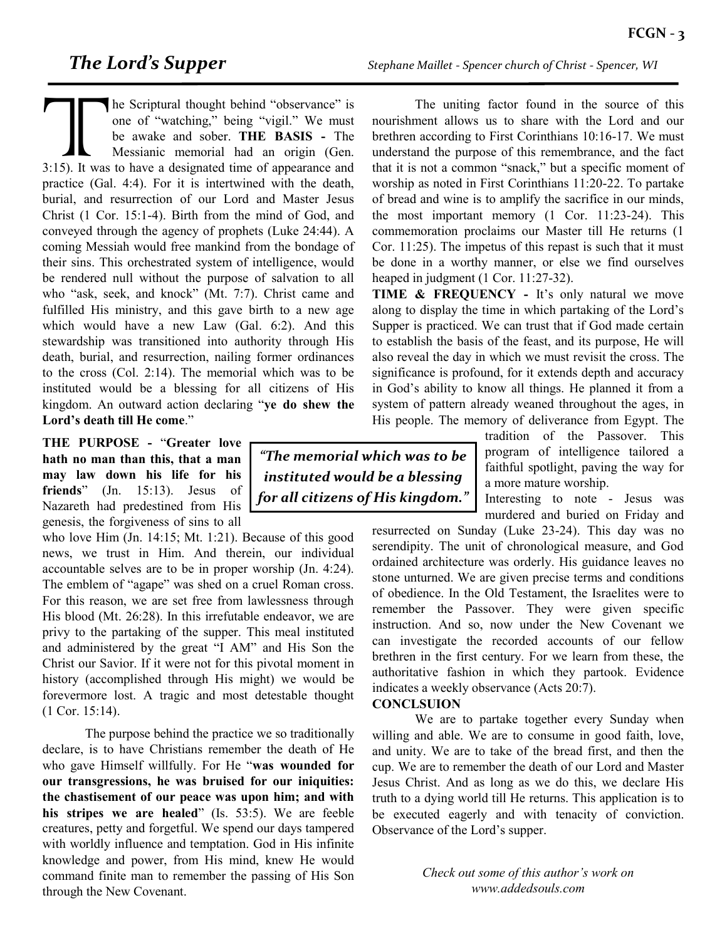3:15). It was<br>practice (Gal he Scriptural thought behind "observance" is one of "watching," being "vigil." We must be awake and sober. **THE BASIS -** The Messianic memorial had an origin (Gen. 3:15). It was to have a designated time of appearance and practice (Gal. 4:4). For it is intertwined with the death, burial, and resurrection of our Lord and Master Jesus Christ (1 Cor. 15:1-4). Birth from the mind of God, and conveyed through the agency of prophets (Luke 24:44). A coming Messiah would free mankind from the bondage of their sins. This orchestrated system of intelligence, would be rendered null without the purpose of salvation to all who "ask, seek, and knock" (Mt. 7:7). Christ came and fulfilled His ministry, and this gave birth to a new age which would have a new Law (Gal. 6:2). And this stewardship was transitioned into authority through His death, burial, and resurrection, nailing former ordinances to the cross (Col. 2:14). The memorial which was to be instituted would be a blessing for all citizens of His kingdom. An outward action declaring "**ye do shew the Lord's death till He come**."

**THE PURPOSE -** "**Greater love hath no man than this, that a man may law down his life for his friends**" (Jn. 15:13). Jesus of Nazareth had predestined from His genesis, the forgiveness of sins to all

who love Him (Jn. 14:15; Mt. 1:21). Because of this good news, we trust in Him. And therein, our individual accountable selves are to be in proper worship (Jn. 4:24). The emblem of "agape" was shed on a cruel Roman cross. For this reason, we are set free from lawlessness through His blood (Mt. 26:28). In this irrefutable endeavor, we are privy to the partaking of the supper. This meal instituted and administered by the great "I AM" and His Son the Christ our Savior. If it were not for this pivotal moment in history (accomplished through His might) we would be forevermore lost. A tragic and most detestable thought (1 Cor. 15:14).

The purpose behind the practice we so traditionally declare, is to have Christians remember the death of He who gave Himself willfully. For He "**was wounded for our transgressions, he was bruised for our iniquities: the chastisement of our peace was upon him; and with his stripes we are healed**" (Is. 53:5). We are feeble creatures, petty and forgetful. We spend our days tampered with worldly influence and temptation. God in His infinite knowledge and power, from His mind, knew He would command finite man to remember the passing of His Son through the New Covenant.

*The Lord's Supper Stephane Maillet - Spencer church of Christ - Spencer, WI*

The uniting factor found in the source of this nourishment allows us to share with the Lord and our brethren according to First Corinthians 10:16-17. We must understand the purpose of this remembrance, and the fact that it is not a common "snack," but a specific moment of worship as noted in First Corinthians 11:20-22. To partake of bread and wine is to amplify the sacrifice in our minds, the most important memory (1 Cor. 11:23-24). This commemoration proclaims our Master till He returns (1 Cor. 11:25). The impetus of this repast is such that it must be done in a worthy manner, or else we find ourselves heaped in judgment (1 Cor. 11:27-32).

**TIME & FREQUENCY -** It's only natural we move along to display the time in which partaking of the Lord's Supper is practiced. We can trust that if God made certain to establish the basis of the feast, and its purpose, He will also reveal the day in which we must revisit the cross. The significance is profound, for it extends depth and accuracy in God's ability to know all things. He planned it from a system of pattern already weaned throughout the ages, in His people. The memory of deliverance from Egypt. The

> tradition of the Passover. This program of intelligence tailored a faithful spotlight, paving the way for a more mature worship.

Interesting to note - Jesus was murdered and buried on Friday and

resurrected on Sunday (Luke 23-24). This day was no serendipity. The unit of chronological measure, and God ordained architecture was orderly. His guidance leaves no stone unturned. We are given precise terms and conditions of obedience. In the Old Testament, the Israelites were to remember the Passover. They were given specific instruction. And so, now under the New Covenant we can investigate the recorded accounts of our fellow brethren in the first century. For we learn from these, the authoritative fashion in which they partook. Evidence indicates a weekly observance (Acts 20:7).

#### **CONCLSUION**

We are to partake together every Sunday when willing and able. We are to consume in good faith, love, and unity. We are to take of the bread first, and then the cup. We are to remember the death of our Lord and Master Jesus Christ. And as long as we do this, we declare His truth to a dying world till He returns. This application is to be executed eagerly and with tenacity of conviction. Observance of the Lord's supper.

> *Check out some of this author's work on www.addedsouls.com*

*"The memorial which was to be instituted would be a blessing for all citizens of His kingdom."*